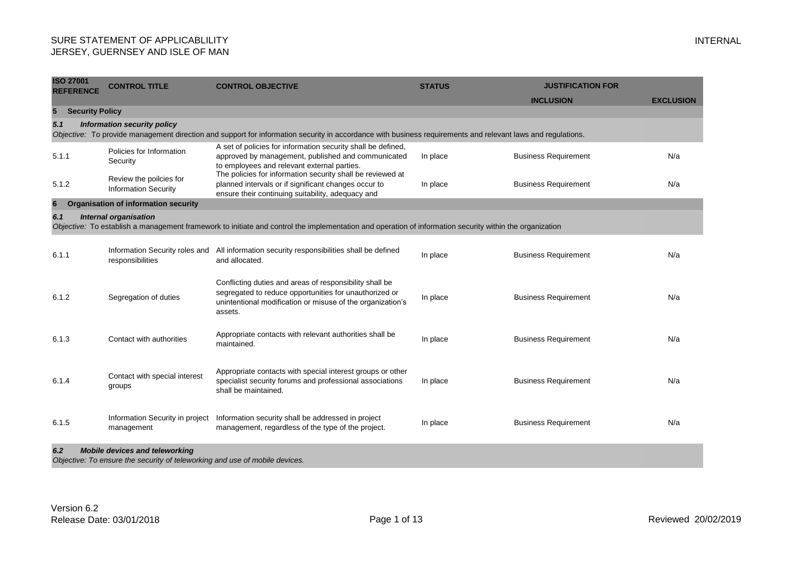| <b>ISO 27001</b><br><b>REFERENCE</b> | <b>CONTROL TITLE</b>                                                                                                 | <b>CONTROL OBJECTIVE</b>                                                                                                                                                                   | <b>STATUS</b> | <b>JUSTIFICATION FOR</b>    |                  |
|--------------------------------------|----------------------------------------------------------------------------------------------------------------------|--------------------------------------------------------------------------------------------------------------------------------------------------------------------------------------------|---------------|-----------------------------|------------------|
|                                      |                                                                                                                      |                                                                                                                                                                                            |               | <b>INCLUSION</b>            | <b>EXCLUSION</b> |
| 5                                    | <b>Security Policy</b>                                                                                               |                                                                                                                                                                                            |               |                             |                  |
| 5.1                                  | Information security policy                                                                                          | Objective: To provide management direction and support for information security in accordance with business requirements and relevant laws and regulations.                                |               |                             |                  |
| 5.1.1                                | Policies for Information<br>Security                                                                                 | A set of policies for information security shall be defined,<br>approved by management, published and communicated<br>to employees and relevant external parties.                          | In place      | <b>Business Requirement</b> | N/a              |
| 5.1.2                                | Review the poilcies for<br><b>Information Security</b>                                                               | The policies for information security shall be reviewed at<br>planned intervals or if significant changes occur to<br>ensure their continuing suitability, adequacy and                    | In place      | <b>Business Requirement</b> | N/a              |
| 6                                    | <b>Organisation of information security</b>                                                                          |                                                                                                                                                                                            |               |                             |                  |
| 6.1                                  | <b>Internal organisation</b>                                                                                         | Objective: To establish a management framework to initiate and control the implementation and operation of information security within the organization                                    |               |                             |                  |
| 6.1.1                                | responsibilities                                                                                                     | Information Security roles and All information security responsibilities shall be defined<br>and allocated.                                                                                | In place      | <b>Business Requirement</b> | N/a              |
| 6.1.2                                | Segregation of duties                                                                                                | Conflicting duties and areas of responsibility shall be<br>segregated to reduce opportunities for unauthorized or<br>unintentional modification or misuse of the organization's<br>assets. | In place      | <b>Business Requirement</b> | N/a              |
| 6.1.3                                | Contact with authorities                                                                                             | Appropriate contacts with relevant authorities shall be<br>maintained.                                                                                                                     | In place      | <b>Business Requirement</b> | N/a              |
| 6.1.4                                | Contact with special interest<br>groups                                                                              | Appropriate contacts with special interest groups or other<br>specialist security forums and professional associations<br>shall be maintained.                                             | In place      | <b>Business Requirement</b> | N/a              |
| 6.1.5                                | Information Security in project<br>management                                                                        | Information security shall be addressed in project<br>management, regardless of the type of the project.                                                                                   | In place      | <b>Business Requirement</b> | N/a              |
| 6.2                                  | <b>Mobile devices and teleworking</b><br>Objective: To ensure the security of teleworking and use of mobile devices. |                                                                                                                                                                                            |               |                             |                  |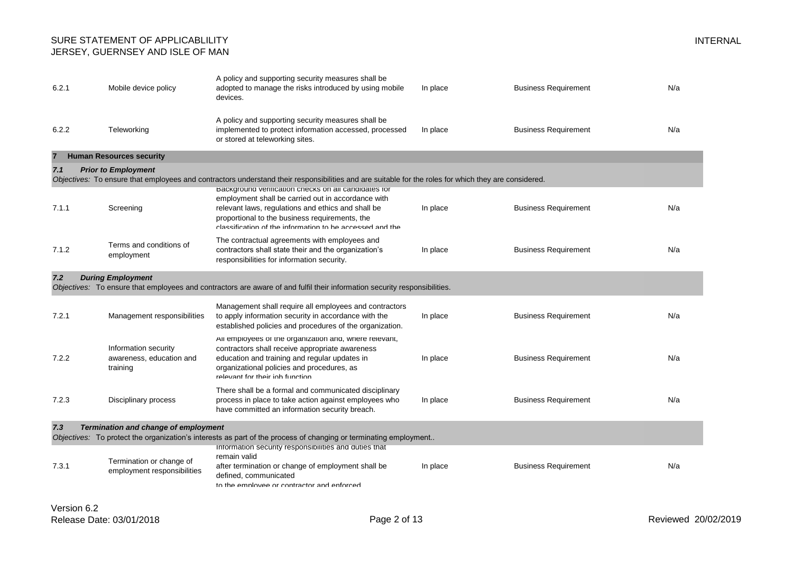| 6.2.1 | Mobile device policy                                         | A policy and supporting security measures shall be<br>adopted to manage the risks introduced by using mobile<br>devices.                                                                                                                    | In place | <b>Business Requirement</b> | N/a |
|-------|--------------------------------------------------------------|---------------------------------------------------------------------------------------------------------------------------------------------------------------------------------------------------------------------------------------------|----------|-----------------------------|-----|
| 6.2.2 | Teleworking                                                  | A policy and supporting security measures shall be<br>implemented to protect information accessed, processed<br>or stored at teleworking sites.                                                                                             | In place | <b>Business Requirement</b> | N/a |
|       | <b>Human Resources security</b>                              |                                                                                                                                                                                                                                             |          |                             |     |
| 7.1   | <b>Prior to Employment</b>                                   |                                                                                                                                                                                                                                             |          |                             |     |
|       |                                                              | Objectives: To ensure that employees and contractors understand their responsibilities and are suitable for the roles for which they are considered.<br>Background verification checks on all candidates for                                |          |                             |     |
| 7.1.1 | Screening                                                    | employment shall be carried out in accordance with<br>relevant laws, regulations and ethics and shall be<br>proportional to the business requirements, the<br>elassification of the information to be accessed and the                      | In place | <b>Business Requirement</b> | N/a |
| 7.1.2 | Terms and conditions of<br>employment                        | The contractual agreements with employees and<br>contractors shall state their and the organization's<br>responsibilities for information security.                                                                                         | In place | <b>Business Requirement</b> | N/a |
| 7.2   | <b>During Employment</b>                                     | Objectives: To ensure that employees and contractors are aware of and fulfil their information security responsibilities.                                                                                                                   |          |                             |     |
| 7.2.1 | Management responsibilities                                  | Management shall require all employees and contractors<br>to apply information security in accordance with the<br>established policies and procedures of the organization.                                                                  | In place | <b>Business Requirement</b> | N/a |
| 7.2.2 | Information security<br>awareness, education and<br>training | All employees of the organization and, where relevant,<br>contractors shall receive appropriate awareness<br>education and training and regular updates in<br>organizational policies and procedures, as<br>relevant for their inh function | In place | <b>Business Requirement</b> | N/a |
| 7.2.3 | Disciplinary process                                         | There shall be a formal and communicated disciplinary<br>process in place to take action against employees who<br>have committed an information security breach.                                                                            | In place | <b>Business Requirement</b> | N/a |
| 7.3   | Termination and change of employment                         | Objectives: To protect the organization's interests as part of the process of changing or terminating employment                                                                                                                            |          |                             |     |
|       |                                                              | Information security responsibilities and duties that                                                                                                                                                                                       |          |                             |     |
| 7.3.1 | Termination or change of<br>employment responsibilities      | remain valid<br>after termination or change of employment shall be<br>defined, communicated<br>to the emniovee or contractor and enforced                                                                                                   | In place | <b>Business Requirement</b> | N/a |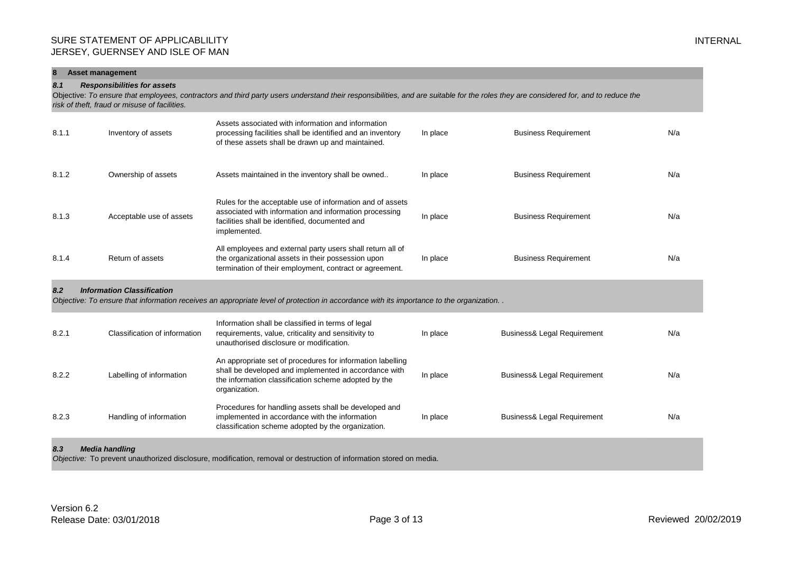| 8<br><b>Asset management</b>                                                                                                                                                                                                                                                      |                                   |                                                                                                                                                                                              |          |                                        |     |  |  |
|-----------------------------------------------------------------------------------------------------------------------------------------------------------------------------------------------------------------------------------------------------------------------------------|-----------------------------------|----------------------------------------------------------------------------------------------------------------------------------------------------------------------------------------------|----------|----------------------------------------|-----|--|--|
| <b>Responsibilities for assets</b><br>8.1<br>Objective: To ensure that employees, contractors and third party users understand their responsibilities, and are suitable for the roles they are considered for, and to reduce the<br>risk of theft, fraud or misuse of facilities. |                                   |                                                                                                                                                                                              |          |                                        |     |  |  |
| 8.1.1                                                                                                                                                                                                                                                                             | Inventory of assets               | Assets associated with information and information<br>processing facilities shall be identified and an inventory<br>of these assets shall be drawn up and maintained.                        | In place | <b>Business Requirement</b>            | N/a |  |  |
| 8.1.2                                                                                                                                                                                                                                                                             | Ownership of assets               | Assets maintained in the inventory shall be owned                                                                                                                                            | In place | <b>Business Requirement</b>            | N/a |  |  |
| 8.1.3                                                                                                                                                                                                                                                                             | Acceptable use of assets          | Rules for the acceptable use of information and of assets<br>associated with information and information processing<br>facilities shall be identified, documented and<br>implemented.        | In place | <b>Business Requirement</b>            | N/a |  |  |
| 8.1.4                                                                                                                                                                                                                                                                             | Return of assets                  | All employees and external party users shall return all of<br>the organizational assets in their possession upon<br>termination of their employment, contract or agreement.                  | In place | <b>Business Requirement</b>            | N/a |  |  |
| 8.2                                                                                                                                                                                                                                                                               | <b>Information Classification</b> | Objective: To ensure that information receives an appropriate level of protection in accordance with its importance to the organization                                                      |          |                                        |     |  |  |
| 8.2.1                                                                                                                                                                                                                                                                             | Classification of information     | Information shall be classified in terms of legal<br>requirements, value, criticality and sensitivity to<br>unauthorised disclosure or modification.                                         | In place | <b>Business&amp; Legal Requirement</b> | N/a |  |  |
| 8.2.2                                                                                                                                                                                                                                                                             | Labelling of information          | An appropriate set of procedures for information labelling<br>shall be developed and implemented in accordance with<br>the information classification scheme adopted by the<br>organization. | In place | <b>Business&amp; Legal Requirement</b> | N/a |  |  |
| 8.2.3                                                                                                                                                                                                                                                                             | Handling of information           | Procedures for handling assets shall be developed and<br>implemented in accordance with the information<br>classification scheme adopted by the organization.                                | In place | Business& Legal Requirement            | N/a |  |  |
| 8.3                                                                                                                                                                                                                                                                               | <b>Media handling</b>             |                                                                                                                                                                                              |          |                                        |     |  |  |

*Objective:* To prevent unauthorized disclosure, modification, removal or destruction of information stored on media.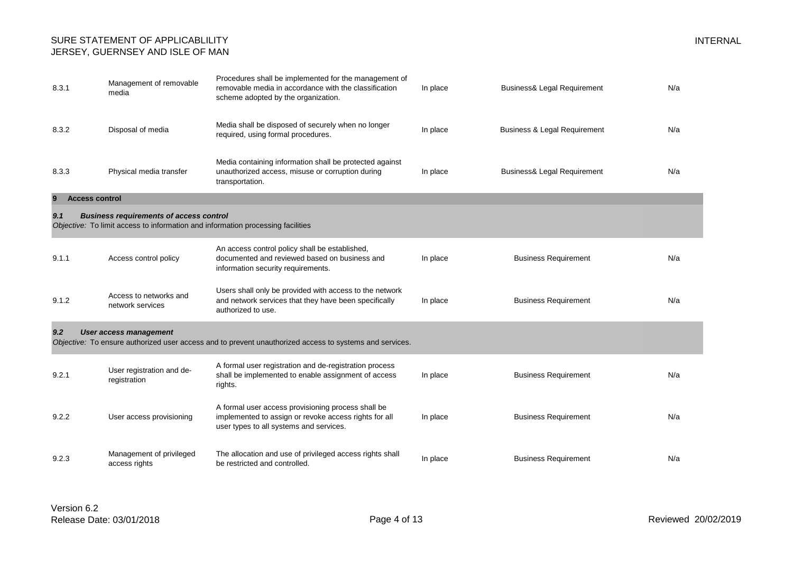| 8.3.1                      | Management of removable<br>media                                                                                                  | Procedures shall be implemented for the management of<br>removable media in accordance with the classification<br>scheme adopted by the organization.  | In place | <b>Business&amp; Legal Requirement</b>  | N/a |
|----------------------------|-----------------------------------------------------------------------------------------------------------------------------------|--------------------------------------------------------------------------------------------------------------------------------------------------------|----------|-----------------------------------------|-----|
| 8.3.2                      | Disposal of media                                                                                                                 | Media shall be disposed of securely when no longer<br>required, using formal procedures.                                                               | In place | <b>Business &amp; Legal Requirement</b> | N/a |
| 8.3.3                      | Physical media transfer                                                                                                           | Media containing information shall be protected against<br>unauthorized access, misuse or corruption during<br>transportation.                         | In place | <b>Business&amp; Legal Requirement</b>  | N/a |
| <b>Access control</b><br>9 |                                                                                                                                   |                                                                                                                                                        |          |                                         |     |
| 9.1                        | <b>Business requirements of access control</b><br>Objective: To limit access to information and information processing facilities |                                                                                                                                                        |          |                                         |     |
| 9.1.1                      | Access control policy                                                                                                             | An access control policy shall be established,<br>documented and reviewed based on business and<br>information security requirements.                  | In place | <b>Business Requirement</b>             | N/a |
| 9.1.2                      | Access to networks and<br>network services                                                                                        | Users shall only be provided with access to the network<br>and network services that they have been specifically<br>authorized to use.                 | In place | <b>Business Requirement</b>             | N/a |
| 9.2                        | <b>User access management</b>                                                                                                     | Objective: To ensure authorized user access and to prevent unauthorized access to systems and services.                                                |          |                                         |     |
| 9.2.1                      | User registration and de-<br>registration                                                                                         | A formal user registration and de-registration process<br>shall be implemented to enable assignment of access<br>rights.                               | In place | <b>Business Requirement</b>             | N/a |
| 9.2.2                      | User access provisioning                                                                                                          | A formal user access provisioning process shall be<br>implemented to assign or revoke access rights for all<br>user types to all systems and services. | In place | <b>Business Requirement</b>             | N/a |
| 9.2.3                      | Management of privileged<br>access rights                                                                                         | The allocation and use of privileged access rights shall<br>be restricted and controlled.                                                              | In place | <b>Business Requirement</b>             | N/a |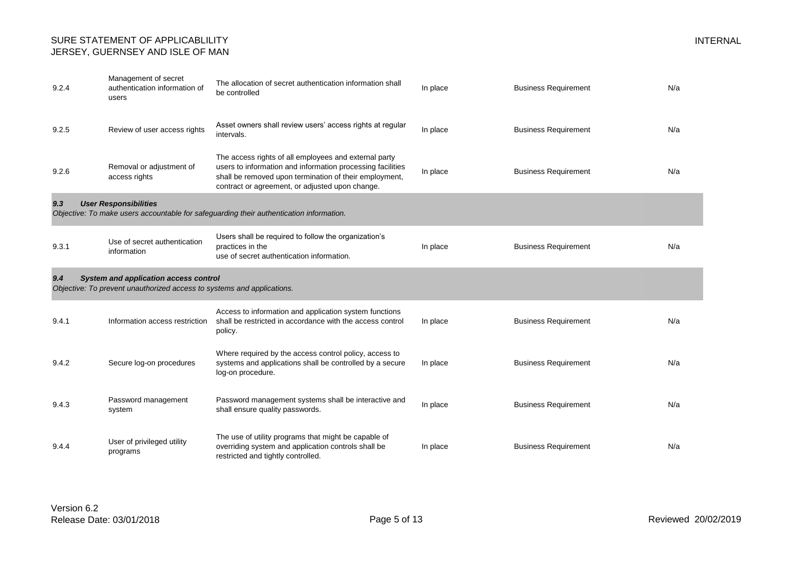| 9.2.4 | Management of secret<br>authentication information of<br>users                                                         | The allocation of secret authentication information shall<br>be controlled                                                                                                                                                       | In place | <b>Business Requirement</b> | N/a |
|-------|------------------------------------------------------------------------------------------------------------------------|----------------------------------------------------------------------------------------------------------------------------------------------------------------------------------------------------------------------------------|----------|-----------------------------|-----|
| 9.2.5 | Review of user access rights                                                                                           | Asset owners shall review users' access rights at regular<br>intervals.                                                                                                                                                          | In place | <b>Business Requirement</b> | N/a |
| 9.2.6 | Removal or adjustment of<br>access rights                                                                              | The access rights of all employees and external party<br>users to information and information processing facilities<br>shall be removed upon termination of their employment,<br>contract or agreement, or adjusted upon change. | In place | <b>Business Requirement</b> | N/a |
| 9.3   | <b>User Responsibilities</b>                                                                                           | Objective: To make users accountable for safeguarding their authentication information.                                                                                                                                          |          |                             |     |
| 9.3.1 | Use of secret authentication<br>information                                                                            | Users shall be required to follow the organization's<br>practices in the<br>use of secret authentication information.                                                                                                            | In place | <b>Business Requirement</b> | N/a |
| 9.4   | <b>System and application access control</b><br>Objective: To prevent unauthorized access to systems and applications. |                                                                                                                                                                                                                                  |          |                             |     |
| 9.4.1 | Information access restriction                                                                                         | Access to information and application system functions<br>shall be restricted in accordance with the access control<br>policy.                                                                                                   | In place | <b>Business Requirement</b> | N/a |
| 9.4.2 | Secure log-on procedures                                                                                               | Where required by the access control policy, access to<br>systems and applications shall be controlled by a secure<br>log-on procedure.                                                                                          | In place | <b>Business Requirement</b> | N/a |
| 9.4.3 | Password management<br>system                                                                                          | Password management systems shall be interactive and<br>shall ensure quality passwords.                                                                                                                                          | In place | <b>Business Requirement</b> | N/a |
|       |                                                                                                                        | The use of utility programs that might be capable of                                                                                                                                                                             |          |                             |     |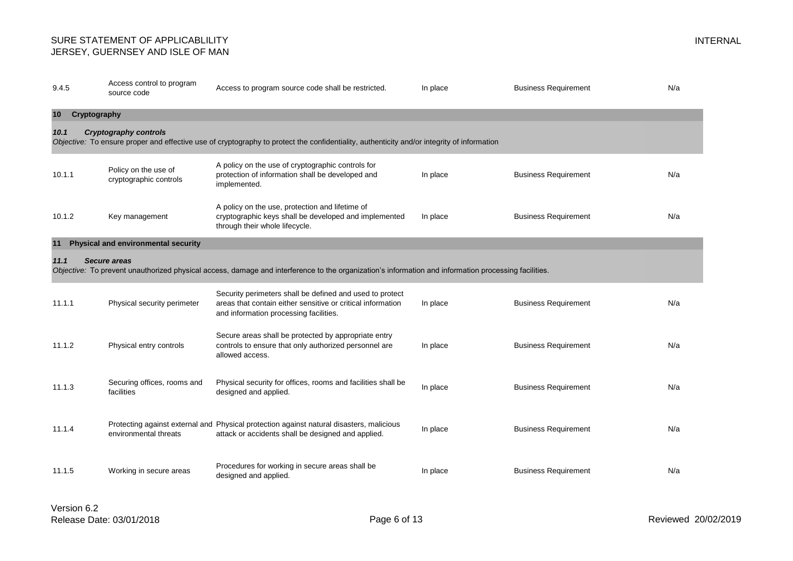| 9.4.5              | Access control to program<br>source code       | Access to program source code shall be restricted.                                                                                                                | In place | <b>Business Requirement</b> | N/a |
|--------------------|------------------------------------------------|-------------------------------------------------------------------------------------------------------------------------------------------------------------------|----------|-----------------------------|-----|
| 10<br>Cryptography |                                                |                                                                                                                                                                   |          |                             |     |
| 10.1               | <b>Cryptography controls</b>                   | Objective: To ensure proper and effective use of cryptography to protect the confidentiality, authenticity and/or integrity of information                        |          |                             |     |
| 10.1.1             | Policy on the use of<br>cryptographic controls | A policy on the use of cryptographic controls for<br>protection of information shall be developed and<br>implemented.                                             | In place | <b>Business Requirement</b> | N/a |
| 10.1.2             | Key management                                 | A policy on the use, protection and lifetime of<br>cryptographic keys shall be developed and implemented<br>through their whole lifecycle.                        | In place | <b>Business Requirement</b> | N/a |
| 11                 | Physical and environmental security            |                                                                                                                                                                   |          |                             |     |
| 11.1               | Secure areas                                   | Objective: To prevent unauthorized physical access, damage and interference to the organization's information and information processing facilities.              |          |                             |     |
| 11.1.1             | Physical security perimeter                    | Security perimeters shall be defined and used to protect<br>areas that contain either sensitive or critical information<br>and information processing facilities. | In place | <b>Business Requirement</b> | N/a |
| 11.1.2             | Physical entry controls                        | Secure areas shall be protected by appropriate entry<br>controls to ensure that only authorized personnel are<br>allowed access.                                  | In place | <b>Business Requirement</b> | N/a |
| 11.1.3             | Securing offices, rooms and<br>facilities      | Physical security for offices, rooms and facilities shall be<br>designed and applied.                                                                             | In place | <b>Business Requirement</b> | N/a |
| 11.1.4             | environmental threats                          | Protecting against external and Physical protection against natural disasters, malicious<br>attack or accidents shall be designed and applied.                    | In place | <b>Business Requirement</b> | N/a |
| 11.1.5             | Working in secure areas                        | Procedures for working in secure areas shall be<br>designed and applied.                                                                                          | In place | <b>Business Requirement</b> | N/a |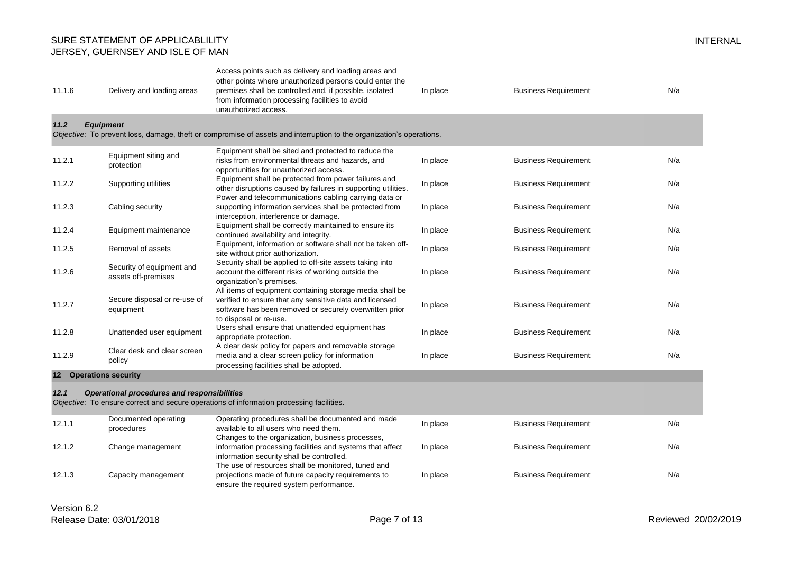| 11.1.6 | Delivery and loading areas                         | Access points such as delivery and loading areas and<br>other points where unauthorized persons could enter the<br>premises shall be controlled and, if possible, isolated<br>from information processing facilities to avoid<br>unauthorized access. | In place | <b>Business Requirement</b> | N/a |
|--------|----------------------------------------------------|-------------------------------------------------------------------------------------------------------------------------------------------------------------------------------------------------------------------------------------------------------|----------|-----------------------------|-----|
| 11.2   | <b>Equipment</b>                                   | Objective: To prevent loss, damage, theft or compromise of assets and interruption to the organization's operations.                                                                                                                                  |          |                             |     |
|        |                                                    |                                                                                                                                                                                                                                                       |          |                             |     |
| 11.2.1 | Equipment siting and<br>protection                 | Equipment shall be sited and protected to reduce the<br>risks from environmental threats and hazards, and<br>opportunities for unauthorized access.                                                                                                   | In place | <b>Business Requirement</b> | N/a |
| 11.2.2 | Supporting utilities                               | Equipment shall be protected from power failures and<br>other disruptions caused by failures in supporting utilities.<br>Power and telecommunications cabling carrying data or                                                                        | In place | <b>Business Requirement</b> | N/a |
| 11.2.3 | Cabling security                                   | supporting information services shall be protected from<br>interception, interference or damage.                                                                                                                                                      | In place | <b>Business Requirement</b> | N/a |
| 11.2.4 | Equipment maintenance                              | Equipment shall be correctly maintained to ensure its<br>continued availability and integrity.                                                                                                                                                        | In place | <b>Business Requirement</b> | N/a |
| 11.2.5 | Removal of assets                                  | Equipment, information or software shall not be taken off-<br>site without prior authorization.                                                                                                                                                       | In place | <b>Business Requirement</b> | N/a |
| 11.2.6 | Security of equipment and<br>assets off-premises   | Security shall be applied to off-site assets taking into<br>account the different risks of working outside the<br>organization's premises.                                                                                                            | In place | <b>Business Requirement</b> | N/a |
| 11.2.7 | Secure disposal or re-use of<br>equipment          | All items of equipment containing storage media shall be<br>verified to ensure that any sensitive data and licensed<br>software has been removed or securely overwritten prior<br>to disposal or re-use.                                              | In place | <b>Business Requirement</b> | N/a |
| 11.2.8 | Unattended user equipment                          | Users shall ensure that unattended equipment has<br>appropriate protection.                                                                                                                                                                           | In place | <b>Business Requirement</b> | N/a |
| 11.2.9 | Clear desk and clear screen<br>policy              | A clear desk policy for papers and removable storage<br>media and a clear screen policy for information<br>processing facilities shall be adopted.                                                                                                    | In place | <b>Business Requirement</b> | N/a |
|        | 12 Operations security                             |                                                                                                                                                                                                                                                       |          |                             |     |
| 12.1   | <b>Operational procedures and responsibilities</b> | Objective: To ensure correct and secure operations of information processing facilities.                                                                                                                                                              |          |                             |     |
| 12.1.1 | Documented operating<br>procedures                 | Operating procedures shall be documented and made<br>available to all users who need them.<br>Changes to the organization, business processes,                                                                                                        | In place | <b>Business Requirement</b> | N/a |
| 12.1.2 | Change management                                  | information processing facilities and systems that affect<br>information security shall be controlled.<br>The use of resources shall be monitored, tuned and                                                                                          | In place | <b>Business Requirement</b> | N/a |
| 12.1.3 | Capacity management                                | projections made of future capacity requirements to<br>ensure the required system performance.                                                                                                                                                        | In place | <b>Business Requirement</b> | N/a |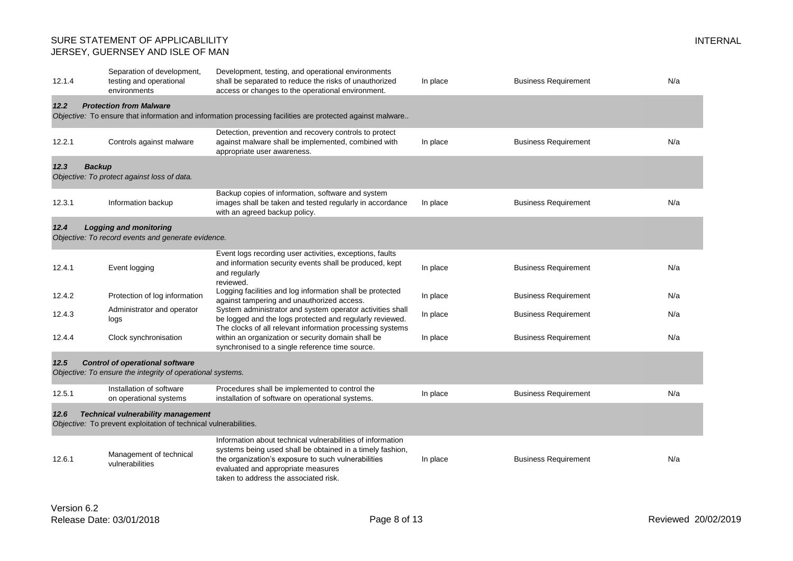| 12.1.4                | Separation of development,<br>testing and operational<br>environments                                         | Development, testing, and operational environments<br>shall be separated to reduce the risks of unauthorized<br>access or changes to the operational environment.                                                                                             | In place | <b>Business Requirement</b> | N/a |
|-----------------------|---------------------------------------------------------------------------------------------------------------|---------------------------------------------------------------------------------------------------------------------------------------------------------------------------------------------------------------------------------------------------------------|----------|-----------------------------|-----|
| 12.2                  | <b>Protection from Malware</b>                                                                                | Objective: To ensure that information and information processing facilities are protected against malware                                                                                                                                                     |          |                             |     |
| 12.2.1                | Controls against malware                                                                                      | Detection, prevention and recovery controls to protect<br>against malware shall be implemented, combined with<br>appropriate user awareness.                                                                                                                  | In place | <b>Business Requirement</b> | N/a |
| 12.3<br><b>Backup</b> | Objective: To protect against loss of data.                                                                   |                                                                                                                                                                                                                                                               |          |                             |     |
| 12.3.1                | Information backup                                                                                            | Backup copies of information, software and system<br>images shall be taken and tested regularly in accordance<br>with an agreed backup policy.                                                                                                                | In place | <b>Business Requirement</b> | N/a |
| 12.4                  | Logging and monitoring<br>Objective: To record events and generate evidence.                                  |                                                                                                                                                                                                                                                               |          |                             |     |
| 12.4.1                | Event logging                                                                                                 | Event logs recording user activities, exceptions, faults<br>and information security events shall be produced, kept<br>and regularly<br>reviewed.                                                                                                             | In place | <b>Business Requirement</b> | N/a |
| 12.4.2                | Protection of log information                                                                                 | Logging facilities and log information shall be protected<br>against tampering and unauthorized access.                                                                                                                                                       | In place | <b>Business Requirement</b> | N/a |
| 12.4.3                | Administrator and operator<br>logs                                                                            | System administrator and system operator activities shall<br>be logged and the logs protected and regularly reviewed.<br>The clocks of all relevant information processing systems                                                                            | In place | <b>Business Requirement</b> | N/a |
| 12.4.4                | Clock synchronisation                                                                                         | within an organization or security domain shall be<br>synchronised to a single reference time source.                                                                                                                                                         | In place | <b>Business Requirement</b> | N/a |
| 12.5                  | <b>Control of operational software</b><br>Objective: To ensure the integrity of operational systems.          |                                                                                                                                                                                                                                                               |          |                             |     |
| 12.5.1                | Installation of software<br>on operational systems                                                            | Procedures shall be implemented to control the<br>installation of software on operational systems.                                                                                                                                                            | In place | <b>Business Requirement</b> | N/a |
| 12.6                  | <b>Technical vulnerability management</b><br>Objective: To prevent exploitation of technical vulnerabilities. |                                                                                                                                                                                                                                                               |          |                             |     |
| 12.6.1                | Management of technical<br>vulnerabilities                                                                    | Information about technical vulnerabilities of information<br>systems being used shall be obtained in a timely fashion,<br>the organization's exposure to such vulnerabilities<br>evaluated and appropriate measures<br>taken to address the associated risk. | In place | <b>Business Requirement</b> | N/a |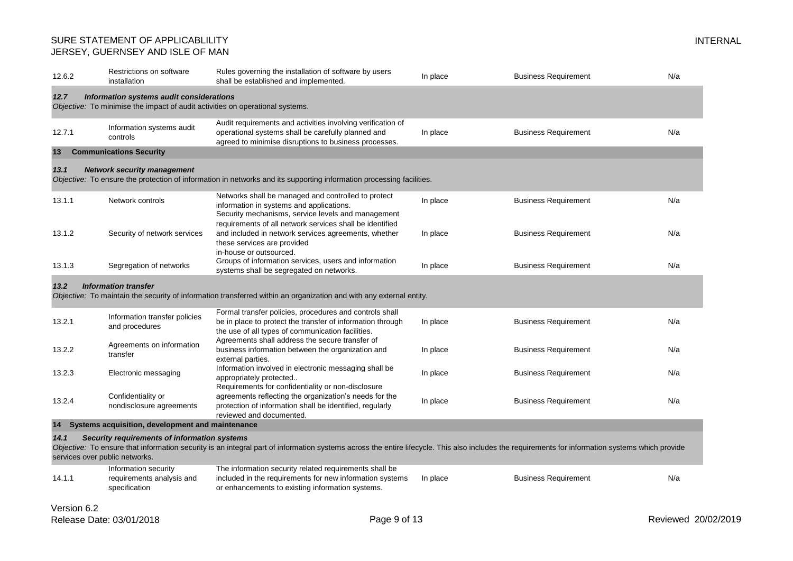| 12.6.2 | Restrictions on software<br>installation                                       | Rules governing the installation of software by users<br>shall be established and implemented.                                                                                                                    | In place | <b>Business Requirement</b> | N/a |
|--------|--------------------------------------------------------------------------------|-------------------------------------------------------------------------------------------------------------------------------------------------------------------------------------------------------------------|----------|-----------------------------|-----|
| 12.7   | Information systems audit considerations                                       |                                                                                                                                                                                                                   |          |                             |     |
|        | Objective: To minimise the impact of audit activities on operational systems.  |                                                                                                                                                                                                                   |          |                             |     |
| 12.7.1 | Information systems audit<br>controls                                          | Audit requirements and activities involving verification of<br>operational systems shall be carefully planned and<br>agreed to minimise disruptions to business processes.                                        | In place | <b>Business Requirement</b> | N/a |
| 13     | <b>Communications Security</b>                                                 |                                                                                                                                                                                                                   |          |                             |     |
| 13.1   | <b>Network security management</b>                                             | Objective: To ensure the protection of information in networks and its supporting information processing facilities.                                                                                              |          |                             |     |
| 13.1.1 | Network controls                                                               | Networks shall be managed and controlled to protect<br>information in systems and applications.<br>Security mechanisms, service levels and management<br>requirements of all network services shall be identified | In place | <b>Business Requirement</b> | N/a |
| 13.1.2 | Security of network services                                                   | and included in network services agreements, whether<br>these services are provided<br>in-house or outsourced.                                                                                                    | In place | <b>Business Requirement</b> | N/a |
| 13.1.3 | Segregation of networks                                                        | Groups of information services, users and information<br>systems shall be segregated on networks.                                                                                                                 | In place | <b>Business Requirement</b> | N/a |
| 13.2   | <b>Information transfer</b>                                                    | Objective: To maintain the security of information transferred within an organization and with any external entity.                                                                                               |          |                             |     |
| 13.2.1 | Information transfer policies<br>and procedures                                | Formal transfer policies, procedures and controls shall<br>be in place to protect the transfer of information through<br>the use of all types of communication facilities.                                        | In place | <b>Business Requirement</b> | N/a |
| 13.2.2 | Agreements on information<br>transfer                                          | Agreements shall address the secure transfer of<br>business information between the organization and<br>external parties.                                                                                         | In place | <b>Business Requirement</b> | N/a |
| 13.2.3 | Electronic messaging                                                           | Information involved in electronic messaging shall be<br>appropriately protected<br>Requirements for confidentiality or non-disclosure                                                                            | In place | <b>Business Requirement</b> | N/a |
| 13.2.4 | Confidentiality or<br>nondisclosure agreements                                 | agreements reflecting the organization's needs for the<br>protection of information shall be identified, regularly<br>reviewed and documented.                                                                    | In place | <b>Business Requirement</b> | N/a |
| 14     | Systems acquisition, development and maintenance                               |                                                                                                                                                                                                                   |          |                             |     |
| 14.1   | Security requirements of information systems<br>services over public networks. | Objective: To ensure that information security is an integral part of information systems across the entire lifecycle. This also includes the requirements for information systems which provide                  |          |                             |     |
| 14.1.1 | Information security<br>requirements analysis and<br>specification             | The information security related requirements shall be<br>included in the requirements for new information systems<br>or enhancements to existing information systems.                                            | In place | <b>Business Requirement</b> | N/a |
| V      |                                                                                |                                                                                                                                                                                                                   |          |                             |     |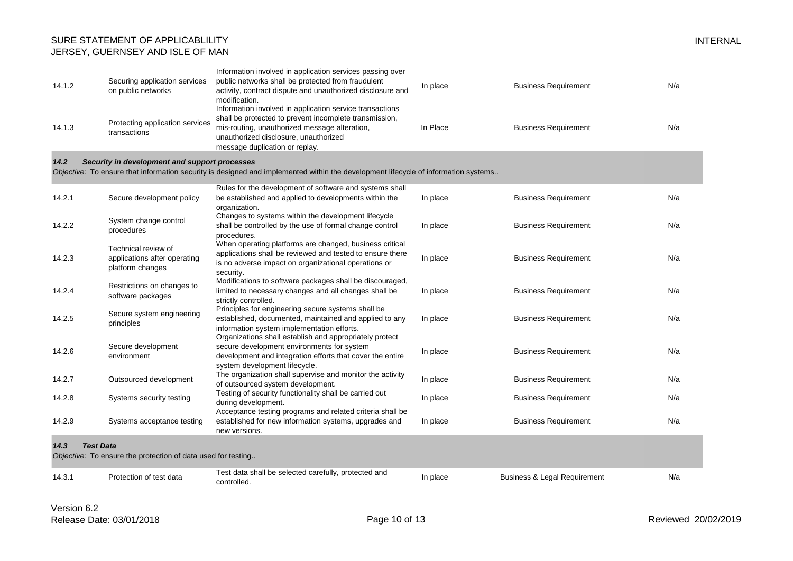| 14.1.2 | Securing application services<br>on public networks | Information involved in application services passing over<br>public networks shall be protected from fraudulent<br>activity, contract dispute and unauthorized disclosure and<br>modification.                                                 | In place | <b>Business Requirement</b> | N/a |
|--------|-----------------------------------------------------|------------------------------------------------------------------------------------------------------------------------------------------------------------------------------------------------------------------------------------------------|----------|-----------------------------|-----|
| 14.1.3 | Protecting application services<br>transactions     | Information involved in application service transactions<br>shall be protected to prevent incomplete transmission.<br>mis-routing, unauthorized message alteration,<br>unauthorized disclosure, unauthorized<br>message duplication or replay. | In Place | <b>Business Requirement</b> | N/a |

#### *14.2 Security in development and support processes*

*Objective:* To ensure that information security is designed and implemented within the development lifecycle of information systems..

|        |                                                                                  | Rules for the development of software and systems shall                                                                                                                                             |          |                                         |     |
|--------|----------------------------------------------------------------------------------|-----------------------------------------------------------------------------------------------------------------------------------------------------------------------------------------------------|----------|-----------------------------------------|-----|
| 14.2.1 | Secure development policy                                                        | be established and applied to developments within the                                                                                                                                               | In place | <b>Business Requirement</b>             | N/a |
| 14.2.2 | System change control<br>procedures                                              | organization.<br>Changes to systems within the development lifecycle<br>shall be controlled by the use of formal change control<br>procedures.                                                      | In place | <b>Business Requirement</b>             | N/a |
| 14.2.3 | Technical review of<br>applications after operating<br>platform changes          | When operating platforms are changed, business critical<br>applications shall be reviewed and tested to ensure there<br>is no adverse impact on organizational operations or<br>security.           | In place | <b>Business Requirement</b>             | N/a |
| 14.2.4 | Restrictions on changes to<br>software packages                                  | Modifications to software packages shall be discouraged,<br>limited to necessary changes and all changes shall be<br>strictly controlled.                                                           | In place | <b>Business Requirement</b>             | N/a |
| 14.2.5 | Secure system engineering<br>principles                                          | Principles for engineering secure systems shall be<br>established, documented, maintained and applied to any<br>information system implementation efforts.                                          | In place | <b>Business Requirement</b>             | N/a |
| 14.2.6 | Secure development<br>environment                                                | Organizations shall establish and appropriately protect<br>secure development environments for system<br>development and integration efforts that cover the entire<br>system development lifecycle. | In place | <b>Business Requirement</b>             | N/a |
| 14.2.7 | Outsourced development                                                           | The organization shall supervise and monitor the activity<br>of outsourced system development.                                                                                                      | In place | <b>Business Requirement</b>             | N/a |
| 14.2.8 | Systems security testing                                                         | Testing of security functionality shall be carried out<br>during development.<br>Acceptance testing programs and related criteria shall be                                                          | In place | <b>Business Requirement</b>             | N/a |
| 14.2.9 | Systems acceptance testing                                                       | established for new information systems, upgrades and<br>new versions.                                                                                                                              | In place | <b>Business Requirement</b>             | N/a |
| 14.3   | <b>Test Data</b><br>Objective: To ensure the protection of data used for testing |                                                                                                                                                                                                     |          |                                         |     |
| 14.3.1 | Protection of test data                                                          | Test data shall be selected carefully, protected and<br>controlled.                                                                                                                                 | In place | <b>Business &amp; Legal Requirement</b> | N/a |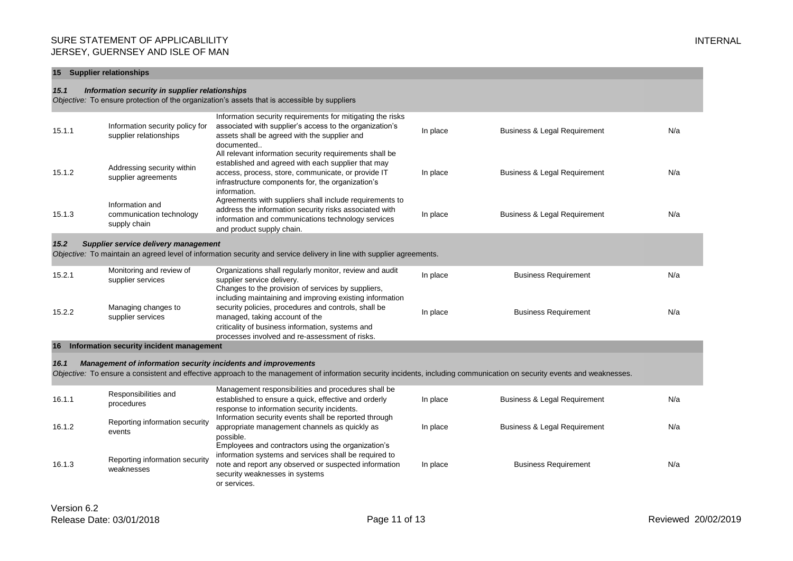#### **15 Supplier relationships**

#### *15.1 Information security in supplier relationships*

*Objective:* To ensure protection of the organization's assets that is accessible by suppliers

| 15.1.1                                                                                                                                                                | Information security policy for<br>supplier relationships   | Information security requirements for mitigating the risks<br>associated with supplier's access to the organization's<br>assets shall be agreed with the supplier and<br>documented                                                      | In place | <b>Business &amp; Legal Requirement</b> | N/a |  |  |
|-----------------------------------------------------------------------------------------------------------------------------------------------------------------------|-------------------------------------------------------------|------------------------------------------------------------------------------------------------------------------------------------------------------------------------------------------------------------------------------------------|----------|-----------------------------------------|-----|--|--|
| 15.1.2                                                                                                                                                                | Addressing security within<br>supplier agreements           | All relevant information security requirements shall be<br>established and agreed with each supplier that may<br>access, process, store, communicate, or provide IT<br>infrastructure components for, the organization's<br>information. | In place | <b>Business &amp; Legal Requirement</b> | N/a |  |  |
| 15.1.3                                                                                                                                                                | Information and<br>communication technology<br>supply chain | Agreements with suppliers shall include requirements to<br>address the information security risks associated with<br>information and communications technology services<br>and product supply chain.                                     | In place | <b>Business &amp; Legal Requirement</b> | N/a |  |  |
| 15.2<br>Supplier service delivery management<br>Objective: To maintain an agreed level of information security and service delivery in line with supplier agreements. |                                                             |                                                                                                                                                                                                                                          |          |                                         |     |  |  |
| 15.2.1                                                                                                                                                                | Monitoring and review of<br>supplier services               | Organizations shall regularly monitor, review and audit<br>supplier service delivery.<br>Changes to the provision of services by suppliers,<br>including maintaining and improving existing information                                  | In place | <b>Business Requirement</b>             | N/a |  |  |

| 15.2.2 | Managing changes to<br>supplier services | mcluding maintaining and improving existing imprimation<br>security policies, procedures and controls, shall be<br>managed, taking account of the | In place | <b>Business Requirement</b> | N/a |
|--------|------------------------------------------|---------------------------------------------------------------------------------------------------------------------------------------------------|----------|-----------------------------|-----|
|        |                                          | criticality of business information, systems and                                                                                                  |          |                             |     |

#### **16 Information security incident management**

#### *16.1 Management of information security incidents and improvements*

*Objective:* To ensure a consistent and effective approach to the management of information security incidents, including communication on security events and weaknesses.

processes involved and re-assessment of risks.

| 16.1.1 | Responsibilities and<br>procedures           | Management responsibilities and procedures shall be<br>established to ensure a quick, effective and orderly<br>response to information security incidents.                                                             | In place | <b>Business &amp; Legal Requirement</b> | N/a |
|--------|----------------------------------------------|------------------------------------------------------------------------------------------------------------------------------------------------------------------------------------------------------------------------|----------|-----------------------------------------|-----|
| 16.1.2 | Reporting information security<br>events     | Information security events shall be reported through<br>appropriate management channels as quickly as<br>possible.                                                                                                    | In place | <b>Business &amp; Legal Requirement</b> | N/a |
| 16.1.3 | Reporting information security<br>weaknesses | Employees and contractors using the organization's<br>information systems and services shall be required to<br>note and report any observed or suspected information<br>security weaknesses in systems<br>or services. | In place | <b>Business Requirement</b>             | N/a |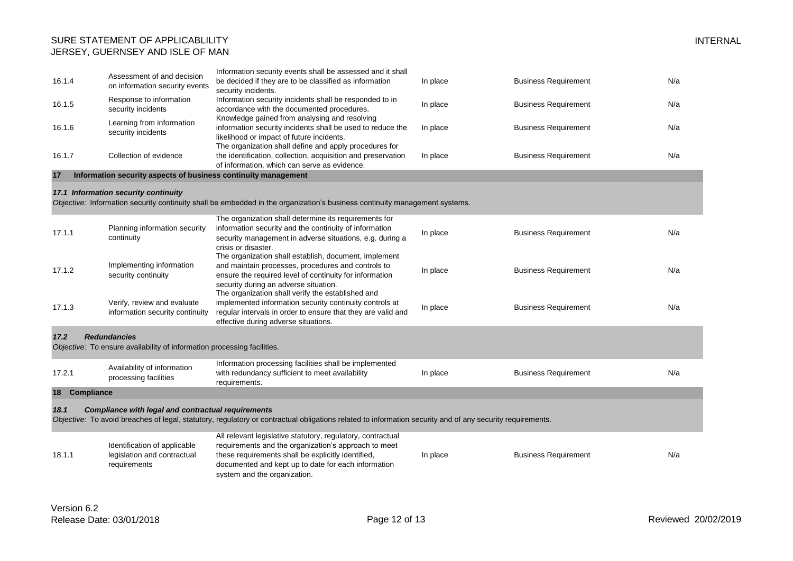| 16.1.4        | Assessment of and decision<br>on information security events                | Information security events shall be assessed and it shall<br>be decided if they are to be classified as information<br>security incidents.                                                                                                                          | In place | <b>Business Requirement</b> | N/a |
|---------------|-----------------------------------------------------------------------------|----------------------------------------------------------------------------------------------------------------------------------------------------------------------------------------------------------------------------------------------------------------------|----------|-----------------------------|-----|
| 16.1.5        | Response to information<br>security incidents                               | Information security incidents shall be responded to in<br>accordance with the documented procedures.                                                                                                                                                                | In place | <b>Business Requirement</b> | N/a |
| 16.1.6        | Learning from information<br>security incidents                             | Knowledge gained from analysing and resolving<br>information security incidents shall be used to reduce the<br>likelihood or impact of future incidents.                                                                                                             | In place | <b>Business Requirement</b> | N/a |
| 16.1.7        | Collection of evidence                                                      | The organization shall define and apply procedures for<br>the identification, collection, acquisition and preservation<br>of information, which can serve as evidence.                                                                                               | In place | <b>Business Requirement</b> | N/a |
| 17            | Information security aspects of business continuity management              |                                                                                                                                                                                                                                                                      |          |                             |     |
|               | 17.1 Information security continuity                                        | Objective: Information security continuity shall be embedded in the organization's business continuity management systems.                                                                                                                                           |          |                             |     |
| 17.1.1        | Planning information security<br>continuity                                 | The organization shall determine its requirements for<br>information security and the continuity of information<br>security management in adverse situations, e.g. during a<br>crisis or disaster.                                                                   | In place | <b>Business Requirement</b> | N/a |
| 17.1.2        | Implementing information<br>security continuity                             | The organization shall establish, document, implement<br>and maintain processes, procedures and controls to<br>ensure the required level of continuity for information<br>security during an adverse situation.<br>The organization shall verify the established and | In place | <b>Business Requirement</b> | N/a |
| 17.1.3        | Verify, review and evaluate<br>information security continuity              | implemented information security continuity controls at<br>regular intervals in order to ensure that they are valid and<br>effective during adverse situations.                                                                                                      | In place | <b>Business Requirement</b> | N/a |
| 17.2          | <b>Redundancies</b>                                                         |                                                                                                                                                                                                                                                                      |          |                             |     |
|               | Objective: To ensure availability of information processing facilities.     |                                                                                                                                                                                                                                                                      |          |                             |     |
| 17.2.1        | Availability of information<br>processing facilities                        | Information processing facilities shall be implemented<br>with redundancy sufficient to meet availability<br>requirements.                                                                                                                                           | In place | <b>Business Requirement</b> | N/a |
| 18 Compliance |                                                                             |                                                                                                                                                                                                                                                                      |          |                             |     |
| 18.1          | <b>Compliance with legal and contractual requirements</b>                   | Objective: To avoid breaches of legal, statutory, regulatory or contractual obligations related to information security and of any security requirements.                                                                                                            |          |                             |     |
| 18.1.1        | Identification of applicable<br>legislation and contractual<br>requirements | All relevant legislative statutory, regulatory, contractual<br>requirements and the organization's approach to meet<br>these requirements shall be explicitly identified,<br>documented and kept up to date for each information<br>system and the organization.     | In place | <b>Business Requirement</b> | N/a |